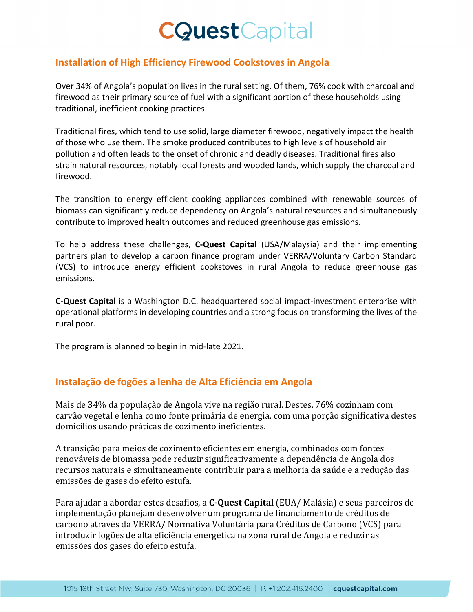## **CQuest**Capital

## **Installation of High Efficiency Firewood Cookstoves in Angola**

Over 34% of Angola's population lives in the rural setting. Of them, 76% cook with charcoal and firewood as their primary source of fuel with a significant portion of these households using traditional, inefficient cooking practices.

Traditional fires, which tend to use solid, large diameter firewood, negatively impact the health of those who use them. The smoke produced contributes to high levels of household air pollution and often leads to the onset of chronic and deadly diseases. Traditional fires also strain natural resources, notably local forests and wooded lands, which supply the charcoal and firewood.

The transition to energy efficient cooking appliances combined with renewable sources of biomass can significantly reduce dependency on Angola's natural resources and simultaneously contribute to improved health outcomes and reduced greenhouse gas emissions.

To help address these challenges, **C‐Quest Capital** (USA/Malaysia) and their implementing partners plan to develop a carbon finance program under VERRA/Voluntary Carbon Standard (VCS) to introduce energy efficient cookstoves in rural Angola to reduce greenhouse gas emissions.

**C‐Quest Capital** is a Washington D.C. headquartered social impact‐investment enterprise with operational platforms in developing countries and a strong focus on transforming the lives of the rural poor.

The program is planned to begin in mid‐late 2021.

## **Instalação de fogões a lenha de Alta Eficiência em Angola**

Mais de 34% da população de Angola vive na região rural. Destes, 76% cozinham com carvão vegetal e lenha como fonte primária de energia, com uma porção significativa destes domicílios usando práticas de cozimento ineficientes.

A transição para meios de cozimento eficientes em energia, combinados com fontes renováveis de biomassa pode reduzir significativamente a dependência de Angola dos recursos naturais e simultaneamente contribuir para a melhoria da saúde e a redução das emissões de gases do efeito estufa.

Para ajudar a abordar estes desafios, a **C‐Quest Capital** (EUA/ Malásia) e seus parceiros de implementação planejam desenvolver um programa de financiamento de créditos de carbono através da VERRA/ Normativa Voluntária para Créditos de Carbono (VCS) para introduzir fogões de alta eficiência energética na zona rural de Angola e reduzir as emissões dos gases do efeito estufa.